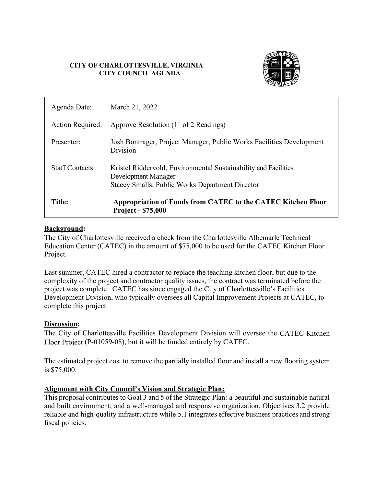#### **CITY OF CHARLOTTESVILLE, VIRGINIA CITY COUNCIL AGENDA**



| Agenda Date:           | March 21, 2022                                                                                                                                   |
|------------------------|--------------------------------------------------------------------------------------------------------------------------------------------------|
| Action Required:       | Approve Resolution $(1st$ of 2 Readings)                                                                                                         |
| Presenter:             | Josh Bontrager, Project Manager, Public Works Facilities Development<br>Division                                                                 |
| <b>Staff Contacts:</b> | Kristel Riddervold, Environmental Sustainability and Facilities<br>Development Manager<br><b>Stacey Smalls, Public Works Department Director</b> |
| Title:                 | Appropriation of Funds from CATEC to the CATEC Kitchen Floor<br><b>Project - \$75,000</b>                                                        |

#### **Background:**

The City of Charlottesville received a check from the Charlottesville Albemarle Technical Education Center (CATEC) in the amount of \$75,000 to be used for the CATEC Kitchen Floor Project.

Last summer, CATEC hired a contractor to replace the teaching kitchen floor, but due to the complexity of the project and contractor quality issues, the contract was terminated before the project was complete. CATEC has since engaged the City of Charlottesville's Facilities Development Division, who typically oversees all Capital Improvement Projects at CATEC, to complete this project.

## **Discussion:**

The City of Charlottesville Facilities Development Division will oversee the CATEC Kitchen Floor Project (P-01059-08), but it will be funded entirely by CATEC.

The estimated project cost to remove the partially installed floor and install a new flooring system is \$75,000.

## **Alignment with City Council's Vision and Strategic Plan:**

This proposal contributes to Goal 3 and 5 of the Strategic Plan: a beautiful and sustainable natural and built environment; and a well-managed and responsive organization. Objectives 3.2 provide reliable and high-quality infrastructure while 5.1 integrates effective business practices and strong fiscal policies.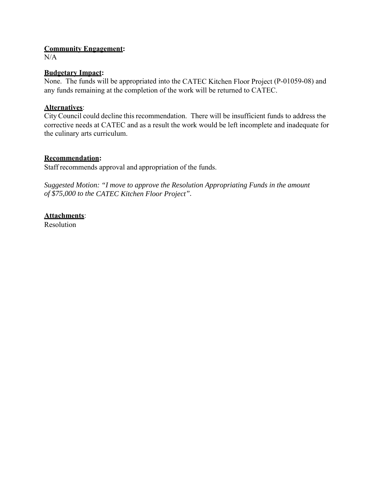#### **Community Engagement:**

 $N/A$ 

### **Budgetary Impact:**

None. The funds will be appropriated into the CATEC Kitchen Floor Project (P-01059-08) and any funds remaining at the completion of the work will be returned to CATEC.

## **Alternatives**:

City Council could decline this recommendation. There will be insufficient funds to address the corrective needs at CATEC and as a result the work would be left incomplete and inadequate for the culinary arts curriculum.

## **Recommendation:**

Staff recommends approval and appropriation of the funds.

*Suggested Motion: "I move to approve the Resolution Appropriating Funds in the amount of \$75,000 to the CATEC Kitchen Floor Project".*

# **Attachments**:

Resolution